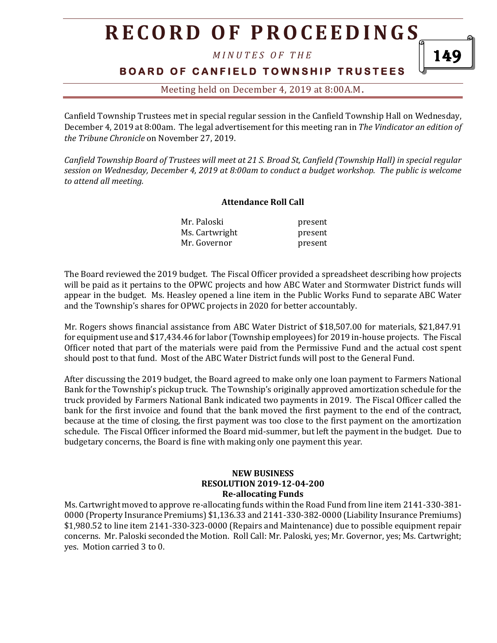# **R E C O R D O F P R O C E E D I N GS**

*M I N U T E S O F T H E* 

### **BOARD OF CANFIELD TOWNSHIP TRUSTEES**

1 дс

Meeting held on December 4, 2019 at 8:00A.M**.**

Canfield Township Trustees met in special regular session in the Canfield Township Hall on Wednesday, December 4, 2019 at 8:00am. The legal advertisement for this meeting ran in *The Vindicator an edition of the Tribune Chronicle* on November 27, 2019.

*Canfield Township Board of Trustees will meet at 21 S. Broad St, Canfield (Township Hall) in special regular session on Wednesday, December 4, 2019 at 8:00am to conduct a budget workshop. The public is welcome to attend all meeting.*

#### **Attendance Roll Call**

| Mr. Paloski    | present |
|----------------|---------|
| Ms. Cartwright | present |
| Mr. Governor   | present |

The Board reviewed the 2019 budget. The Fiscal Officer provided a spreadsheet describing how projects will be paid as it pertains to the OPWC projects and how ABC Water and Stormwater District funds will appear in the budget. Ms. Heasley opened a line item in the Public Works Fund to separate ABC Water and the Township's shares for OPWC projects in 2020 for better accountably.

Mr. Rogers shows financial assistance from ABC Water District of \$18,507.00 for materials, \$21,847.91 for equipment use and \$17,434.46 for labor (Township employees) for 2019 in-house projects. The Fiscal Officer noted that part of the materials were paid from the Permissive Fund and the actual cost spent should post to that fund. Most of the ABC Water District funds will post to the General Fund.

After discussing the 2019 budget, the Board agreed to make only one loan payment to Farmers National Bank for the Township's pickup truck. The Township's originally approved amortization schedule for the truck provided by Farmers National Bank indicated two payments in 2019. The Fiscal Officer called the bank for the first invoice and found that the bank moved the first payment to the end of the contract, because at the time of closing, the first payment was too close to the first payment on the amortization schedule. The Fiscal Officer informed the Board mid-summer, but left the payment in the budget. Due to budgetary concerns, the Board is fine with making only one payment this year.

#### **NEW BUSINESS RESOLUTION 2019-12-04-200 Re-allocating Funds**

Ms. Cartwright moved to approve re-allocating funds within the Road Fund from line item 2141-330-381- 0000 (Property Insurance Premiums) \$1,136.33 and 2141-330-382-0000 (Liability Insurance Premiums) \$1,980.52 to line item 2141-330-323-0000 (Repairs and Maintenance) due to possible equipment repair concerns. Mr. Paloski seconded the Motion. Roll Call: Mr. Paloski, yes; Mr. Governor, yes; Ms. Cartwright; yes. Motion carried 3 to 0.